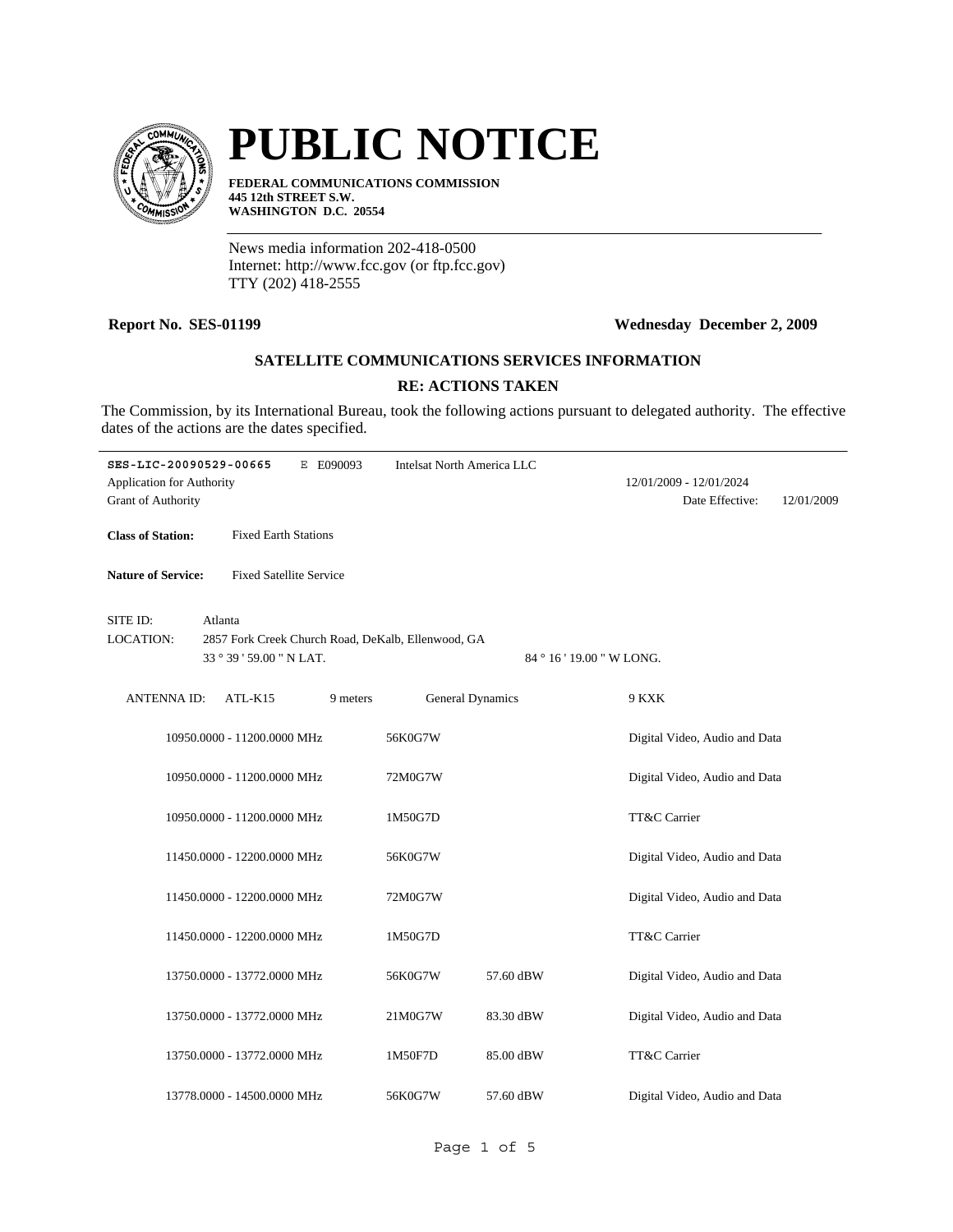

# **PUBLIC NOTICE**

**FEDERAL COMMUNICATIONS COMMISSION 445 12th STREET S.W. WASHINGTON D.C. 20554**

News media information 202-418-0500 Internet: http://www.fcc.gov (or ftp.fcc.gov) TTY (202) 418-2555

## **Report No. SES-01199 Wednesday December 2, 2009**

#### **SATELLITE COMMUNICATIONS SERVICES INFORMATION**

### **RE: ACTIONS TAKEN**

The Commission, by its International Bureau, took the following actions pursuant to delegated authority. The effective dates of the actions are the dates specified.

| SES-LIC-20090529-00665                                        |                                | E E090093                                                                       | <b>Intelsat North America LLC</b> |           |              |                                            |            |  |
|---------------------------------------------------------------|--------------------------------|---------------------------------------------------------------------------------|-----------------------------------|-----------|--------------|--------------------------------------------|------------|--|
| <b>Application for Authority</b><br><b>Grant of Authority</b> |                                |                                                                                 |                                   |           |              | 12/01/2009 - 12/01/2024<br>Date Effective: | 12/01/2009 |  |
| <b>Class of Station:</b>                                      | <b>Fixed Earth Stations</b>    |                                                                                 |                                   |           |              |                                            |            |  |
| <b>Nature of Service:</b>                                     | <b>Fixed Satellite Service</b> |                                                                                 |                                   |           |              |                                            |            |  |
| SITE ID:                                                      | Atlanta                        |                                                                                 |                                   |           |              |                                            |            |  |
| <b>LOCATION:</b>                                              |                                | 2857 Fork Creek Church Road, DeKalb, Ellenwood, GA<br>84 ° 16 ' 19.00 " W LONG. |                                   |           |              |                                            |            |  |
|                                                               | 33 ° 39 ' 59.00 " N LAT.       |                                                                                 |                                   |           |              |                                            |            |  |
| <b>ANTENNA ID:</b>                                            | ATL-K15                        | 9 meters                                                                        | <b>General Dynamics</b>           |           | 9 KXK        |                                            |            |  |
|                                                               | 10950.0000 - 11200.0000 MHz    |                                                                                 | 56K0G7W                           |           |              | Digital Video, Audio and Data              |            |  |
|                                                               | 10950.0000 - 11200.0000 MHz    |                                                                                 | 72M0G7W                           |           |              | Digital Video, Audio and Data              |            |  |
|                                                               | 10950.0000 - 11200.0000 MHz    |                                                                                 | 1M50G7D                           |           | TT&C Carrier |                                            |            |  |
|                                                               | 11450.0000 - 12200.0000 MHz    |                                                                                 | 56K0G7W                           |           |              | Digital Video, Audio and Data              |            |  |
|                                                               | 11450.0000 - 12200.0000 MHz    |                                                                                 | 72M0G7W                           |           |              | Digital Video, Audio and Data              |            |  |
|                                                               | 11450.0000 - 12200.0000 MHz    |                                                                                 | 1M50G7D                           |           | TT&C Carrier |                                            |            |  |
|                                                               | 13750.0000 - 13772.0000 MHz    |                                                                                 | 56K0G7W                           | 57.60 dBW |              | Digital Video, Audio and Data              |            |  |
|                                                               | 13750.0000 - 13772.0000 MHz    |                                                                                 | 21M0G7W                           | 83.30 dBW |              | Digital Video, Audio and Data              |            |  |
|                                                               | 13750.0000 - 13772.0000 MHz    |                                                                                 | 1M50F7D                           | 85.00 dBW | TT&C Carrier |                                            |            |  |
|                                                               | 13778.0000 - 14500.0000 MHz    |                                                                                 | 56K0G7W                           | 57.60 dBW |              | Digital Video, Audio and Data              |            |  |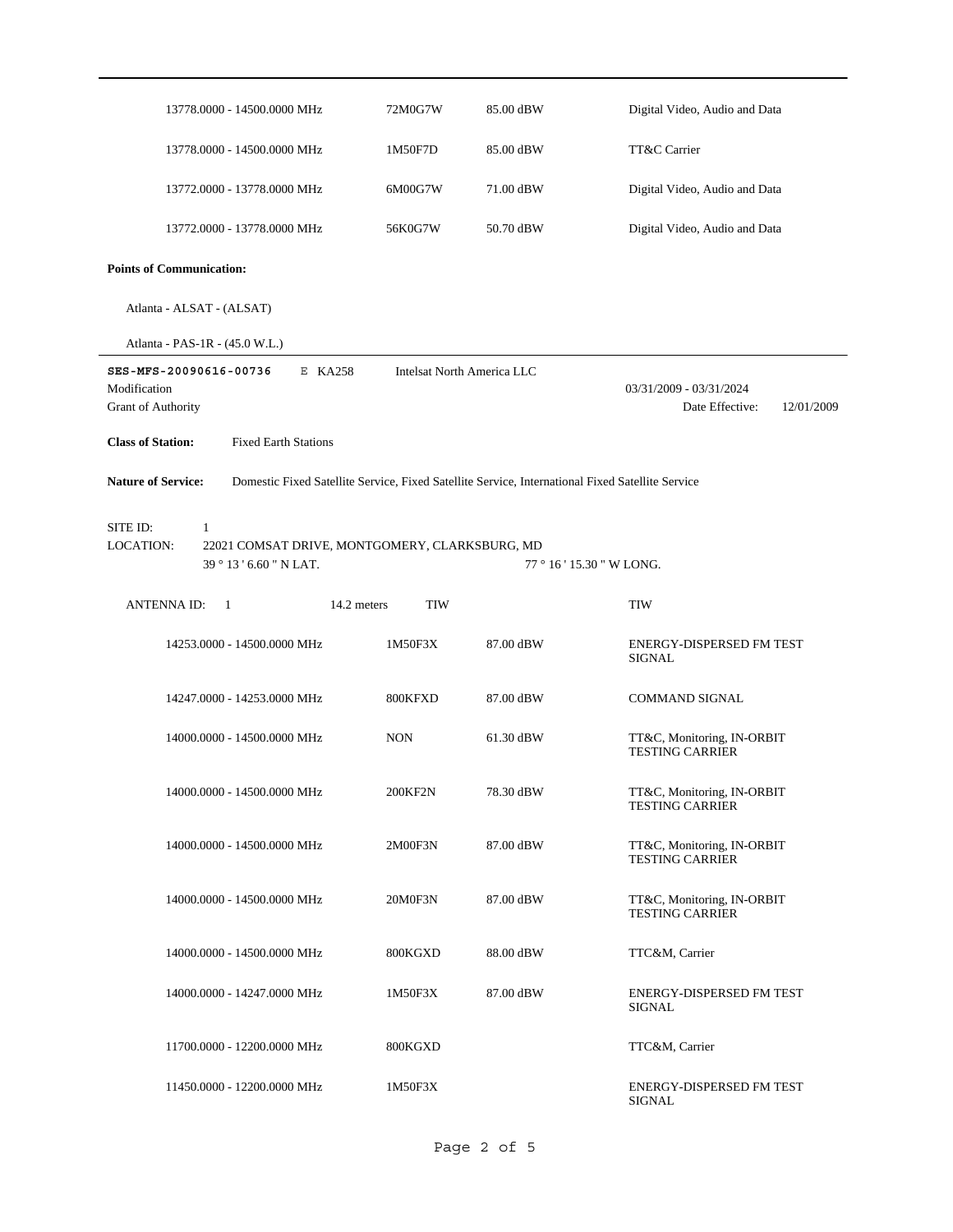| 13778.0000 - 14500.0000 MHz                                                                                                                                       | 72M0G7W    | 85.00 dBW | Digital Video, Audio and Data                        |  |
|-------------------------------------------------------------------------------------------------------------------------------------------------------------------|------------|-----------|------------------------------------------------------|--|
| 13778.0000 - 14500.0000 MHz                                                                                                                                       | 1M50F7D    | 85.00 dBW | TT&C Carrier                                         |  |
| 13772.0000 - 13778.0000 MHz                                                                                                                                       | 6M00G7W    | 71.00 dBW | Digital Video, Audio and Data                        |  |
| 13772.0000 - 13778.0000 MHz                                                                                                                                       | 56K0G7W    | 50.70 dBW | Digital Video, Audio and Data                        |  |
| <b>Points of Communication:</b>                                                                                                                                   |            |           |                                                      |  |
| Atlanta - ALSAT - (ALSAT)                                                                                                                                         |            |           |                                                      |  |
| Atlanta - PAS-1R - (45.0 W.L.)                                                                                                                                    |            |           |                                                      |  |
| SES-MFS-20090616-00736<br>E KA258<br>Intelsat North America LLC<br>Modification<br>03/31/2009 - 03/31/2024<br>Grant of Authority<br>Date Effective:<br>12/01/2009 |            |           |                                                      |  |
| <b>Class of Station:</b><br><b>Fixed Earth Stations</b>                                                                                                           |            |           |                                                      |  |
| <b>Nature of Service:</b><br>Domestic Fixed Satellite Service, Fixed Satellite Service, International Fixed Satellite Service                                     |            |           |                                                      |  |
| SITE ID:<br>$\mathbf{1}$<br><b>LOCATION:</b><br>22021 COMSAT DRIVE, MONTGOMERY, CLARKSBURG, MD<br>39 ° 13 ' 6.60 " N LAT.<br>77 ° 16 ' 15.30 " W LONG.            |            |           |                                                      |  |
| <b>ANTENNA ID:</b><br>14.2 meters<br>-1                                                                                                                           | <b>TIW</b> |           | TIW                                                  |  |
| 14253.0000 - 14500.0000 MHz                                                                                                                                       | 1M50F3X    | 87.00 dBW | ENERGY-DISPERSED FM TEST<br>SIGNAL                   |  |
| 14247.0000 - 14253.0000 MHz                                                                                                                                       | 800KFXD    | 87.00 dBW | <b>COMMAND SIGNAL</b>                                |  |
| 14000.0000 - 14500.0000 MHz                                                                                                                                       | <b>NON</b> | 61.30 dBW | TT&C, Monitoring, IN-ORBIT<br><b>TESTING CARRIER</b> |  |
| 14000.0000 - 14500.0000 MHz                                                                                                                                       | 200KF2N    | 78.30 dBW | TT&C, Monitoring, IN-ORBIT<br><b>TESTING CARRIER</b> |  |
| 14000.0000 - 14500.0000 MHz                                                                                                                                       | 2M00F3N    | 87.00 dBW | TT&C, Monitoring, IN-ORBIT<br><b>TESTING CARRIER</b> |  |
| 14000.0000 - 14500.0000 MHz                                                                                                                                       | 20M0F3N    | 87.00 dBW | TT&C, Monitoring, IN-ORBIT<br><b>TESTING CARRIER</b> |  |
| 14000.0000 - 14500.0000 MHz                                                                                                                                       | 800KGXD    | 88.00 dBW | TTC&M, Carrier                                       |  |
| 14000.0000 - 14247.0000 MHz                                                                                                                                       | 1M50F3X    | 87.00 dBW | ENERGY-DISPERSED FM TEST<br><b>SIGNAL</b>            |  |
| 11700.0000 - 12200.0000 MHz                                                                                                                                       | 800KGXD    |           | TTC&M, Carrier                                       |  |
| 11450.0000 - 12200.0000 MHz                                                                                                                                       | 1M50F3X    |           | ENERGY-DISPERSED FM TEST<br>SIGNAL                   |  |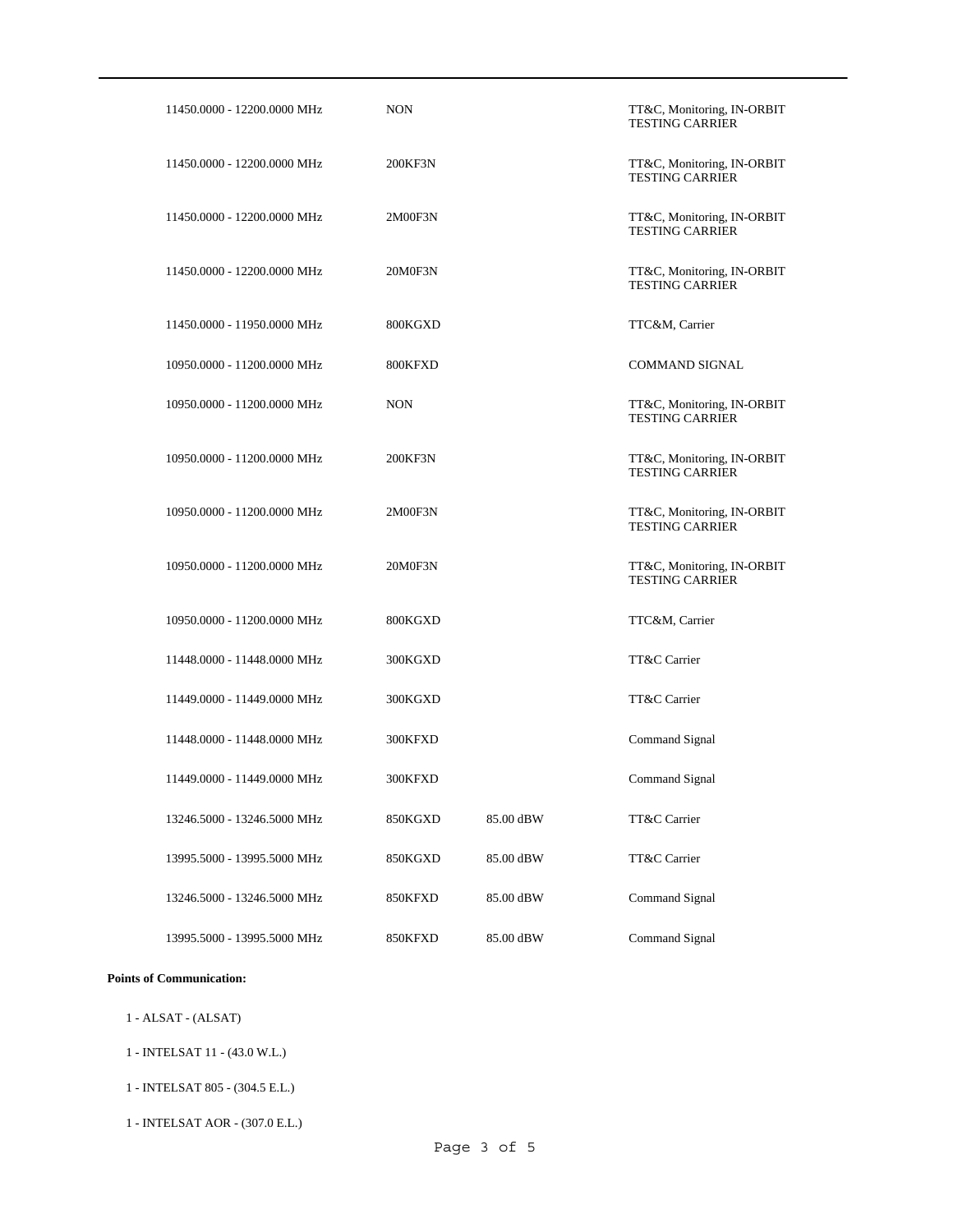| 11450.0000 - 12200.0000 MHz | <b>NON</b> |           | TT&C, Monitoring, IN-ORBIT<br><b>TESTING CARRIER</b> |
|-----------------------------|------------|-----------|------------------------------------------------------|
| 11450.0000 - 12200.0000 MHz | 200KF3N    |           | TT&C, Monitoring, IN-ORBIT<br><b>TESTING CARRIER</b> |
| 11450.0000 - 12200.0000 MHz | 2M00F3N    |           | TT&C, Monitoring, IN-ORBIT<br><b>TESTING CARRIER</b> |
| 11450.0000 - 12200.0000 MHz | 20M0F3N    |           | TT&C, Monitoring, IN-ORBIT<br><b>TESTING CARRIER</b> |
| 11450.0000 - 11950.0000 MHz | 800KGXD    |           | TTC&M, Carrier                                       |
| 10950.0000 - 11200.0000 MHz | 800KFXD    |           | <b>COMMAND SIGNAL</b>                                |
| 10950.0000 - 11200.0000 MHz | <b>NON</b> |           | TT&C, Monitoring, IN-ORBIT<br><b>TESTING CARRIER</b> |
| 10950.0000 - 11200.0000 MHz | 200KF3N    |           | TT&C, Monitoring, IN-ORBIT<br><b>TESTING CARRIER</b> |
| 10950.0000 - 11200.0000 MHz | 2M00F3N    |           | TT&C, Monitoring, IN-ORBIT<br><b>TESTING CARRIER</b> |
| 10950.0000 - 11200.0000 MHz | 20M0F3N    |           | TT&C, Monitoring, IN-ORBIT<br><b>TESTING CARRIER</b> |
| 10950.0000 - 11200.0000 MHz | 800KGXD    |           | TTC&M, Carrier                                       |
| 11448.0000 - 11448.0000 MHz | 300KGXD    |           | TT&C Carrier                                         |
| 11449.0000 - 11449.0000 MHz | 300KGXD    |           | TT&C Carrier                                         |
| 11448.0000 - 11448.0000 MHz | 300KFXD    |           | Command Signal                                       |
| 11449.0000 - 11449.0000 MHz | 300KFXD    |           | Command Signal                                       |
| 13246.5000 - 13246.5000 MHz | 850KGXD    | 85.00 dBW | TT&C Carrier                                         |
| 13995.5000 - 13995.5000 MHz | 850KGXD    | 85.00 dBW | TT&C Carrier                                         |
| 13246.5000 - 13246.5000 MHz | 850KFXD    | 85.00 dBW | Command Signal                                       |
| 13995.5000 - 13995.5000 MHz | 850KFXD    | 85.00 dBW | Command Signal                                       |

### **Points of Communication:**

- 1 ALSAT (ALSAT)
- 1 INTELSAT 11 (43.0 W.L.)
- 1 INTELSAT 805 (304.5 E.L.)
- 1 INTELSAT AOR (307.0 E.L.)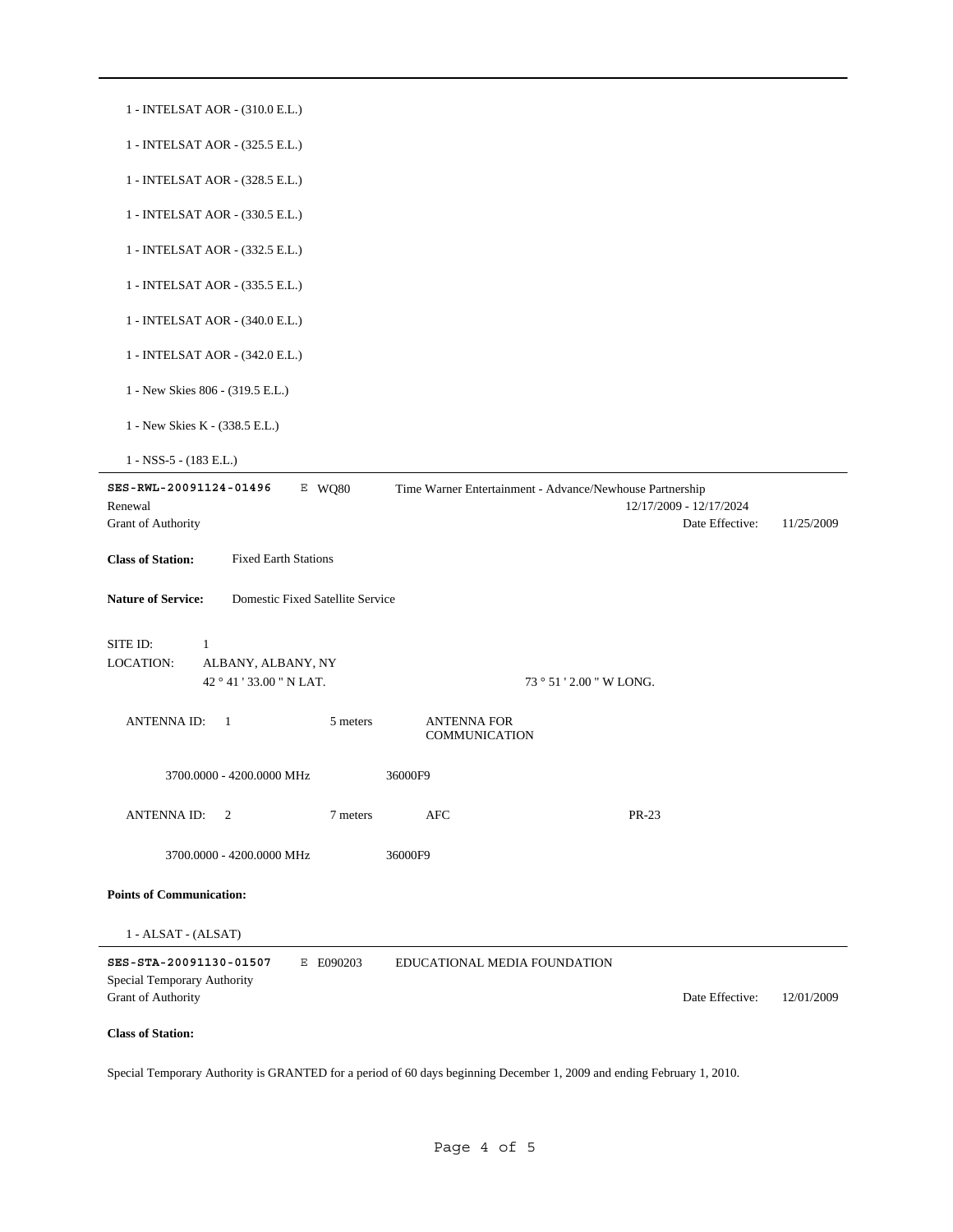| 1 - INTELSAT AOR - (310.0 E.L.)                               |                                                          |                         |            |
|---------------------------------------------------------------|----------------------------------------------------------|-------------------------|------------|
| 1 - INTELSAT AOR - (325.5 E.L.)                               |                                                          |                         |            |
| 1 - INTELSAT AOR - (328.5 E.L.)                               |                                                          |                         |            |
| 1 - INTELSAT AOR - (330.5 E.L.)                               |                                                          |                         |            |
| 1 - INTELSAT AOR - (332.5 E.L.)                               |                                                          |                         |            |
| 1 - INTELSAT AOR - (335.5 E.L.)                               |                                                          |                         |            |
| 1 - INTELSAT AOR - (340.0 E.L.)                               |                                                          |                         |            |
| 1 - INTELSAT AOR - (342.0 E.L.)                               |                                                          |                         |            |
| 1 - New Skies 806 - (319.5 E.L.)                              |                                                          |                         |            |
| 1 - New Skies K - (338.5 E.L.)                                |                                                          |                         |            |
| $1 - NSS-5 - (183 E.L.)$                                      |                                                          |                         |            |
|                                                               |                                                          |                         |            |
| SES-RWL-20091124-01496<br>E WQ80                              | Time Warner Entertainment - Advance/Newhouse Partnership |                         |            |
| Renewal                                                       |                                                          | 12/17/2009 - 12/17/2024 |            |
| Grant of Authority                                            |                                                          | Date Effective:         | 11/25/2009 |
| <b>Class of Station:</b><br><b>Fixed Earth Stations</b>       |                                                          |                         |            |
| <b>Nature of Service:</b><br>Domestic Fixed Satellite Service |                                                          |                         |            |
| SITE ID:<br>1                                                 |                                                          |                         |            |
| <b>LOCATION:</b><br>ALBANY, ALBANY, NY                        |                                                          |                         |            |
| 42 ° 41 ' 33.00 " N LAT.                                      | 73 ° 51 ' 2.00 " W LONG.                                 |                         |            |
|                                                               |                                                          |                         |            |
| <b>ANTENNA ID:</b><br>$\overline{1}$<br>5 meters              | <b>ANTENNA FOR</b><br>COMMUNICATION                      |                         |            |
| 3700.0000 - 4200.0000 MHz                                     | 36000F9                                                  |                         |            |
| ANTENNA ID:<br>7 meters<br>2                                  | AFC                                                      | PR-23                   |            |
| 3700.0000 - 4200.0000 MHz                                     | 36000F9                                                  |                         |            |
|                                                               |                                                          |                         |            |
| <b>Points of Communication:</b>                               |                                                          |                         |            |
| 1 - ALSAT - (ALSAT)                                           |                                                          |                         |            |
| SES-STA-20091130-01507<br>E E090203                           | EDUCATIONAL MEDIA FOUNDATION                             |                         |            |
| Special Temporary Authority                                   |                                                          |                         |            |
| Grant of Authority                                            |                                                          | Date Effective:         | 12/01/2009 |
| <b>Class of Station:</b>                                      |                                                          |                         |            |
|                                                               |                                                          |                         |            |

Special Temporary Authority is GRANTED for a period of 60 days beginning December 1, 2009 and ending February 1, 2010.